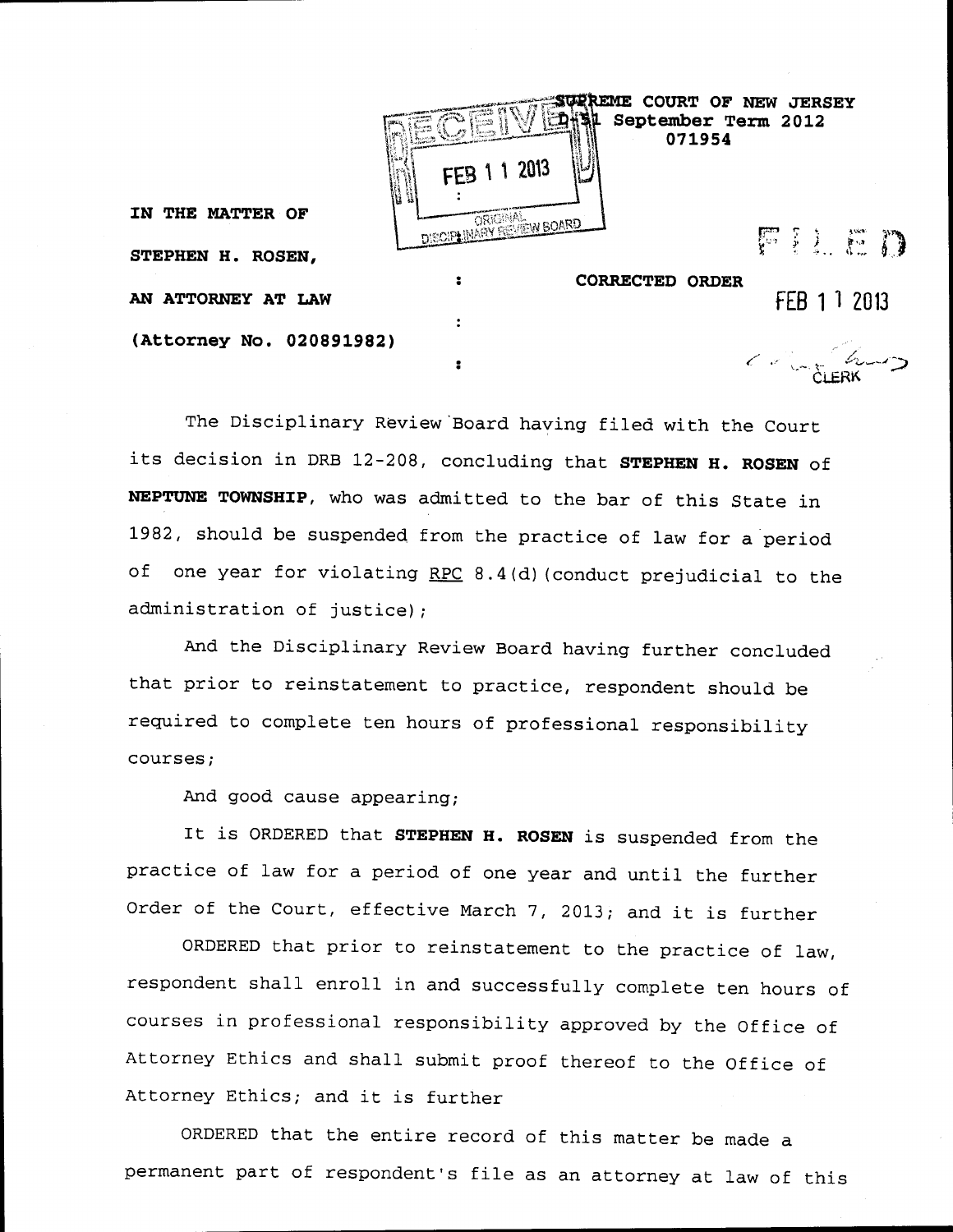|                          |                   | <b>REME</b><br>071954  | COURT OF NEW JERSEY<br>September Term 2012 |
|--------------------------|-------------------|------------------------|--------------------------------------------|
|                          | FEB 1 1 2013      |                        |                                            |
| IN THE MATTER OF         | ORIGINAL ORIGINAL |                        | FILED                                      |
| STEPHEN H. ROSEN,        |                   |                        |                                            |
|                          |                   | <b>CORRECTED ORDER</b> |                                            |
| AN ATTORNEY AT LAW       |                   |                        | FEB 1 1 2013                               |
| (Attorney No. 020891982) |                   |                        |                                            |
|                          |                   |                        | $\left(\sqrt{2}\right)$                    |

The Disciplinary Review'Board having filed with the Court its decision in DRB 12-208, concluding that STEPHEN H. ROSEN of NEPTUNE TOWNSHIP, who was admitted to the bar of this State in 1982, should be suspended from the practice of law for a period of one year for violating RPC 8.4(d) (conduct prejudicial to the administration of justice);

And the Disciplinary Review Board having further concluded that prior to reinstatement to practice, respondent should be required to complete ten hours of professional responsibility courses;

And good cause appearing;

It is ORDERED that STEPHEN H. ROSEN is suspended from the practice of law for a period of one year and until the further Order of the Court, effective March 7, 2013; and it is further

ORDERED that prior to reinstatement to the practice of law, respondent shall enroll in and successfully complete ten hours of courses in professional responsibility approved by the Office of Attorney Ethics and shall submit proof thereof to the Office of Attorney Ethics; and it is further

ORDERED that the entire record of this matter be made a permanent part of respondent's file as an attorney at law of this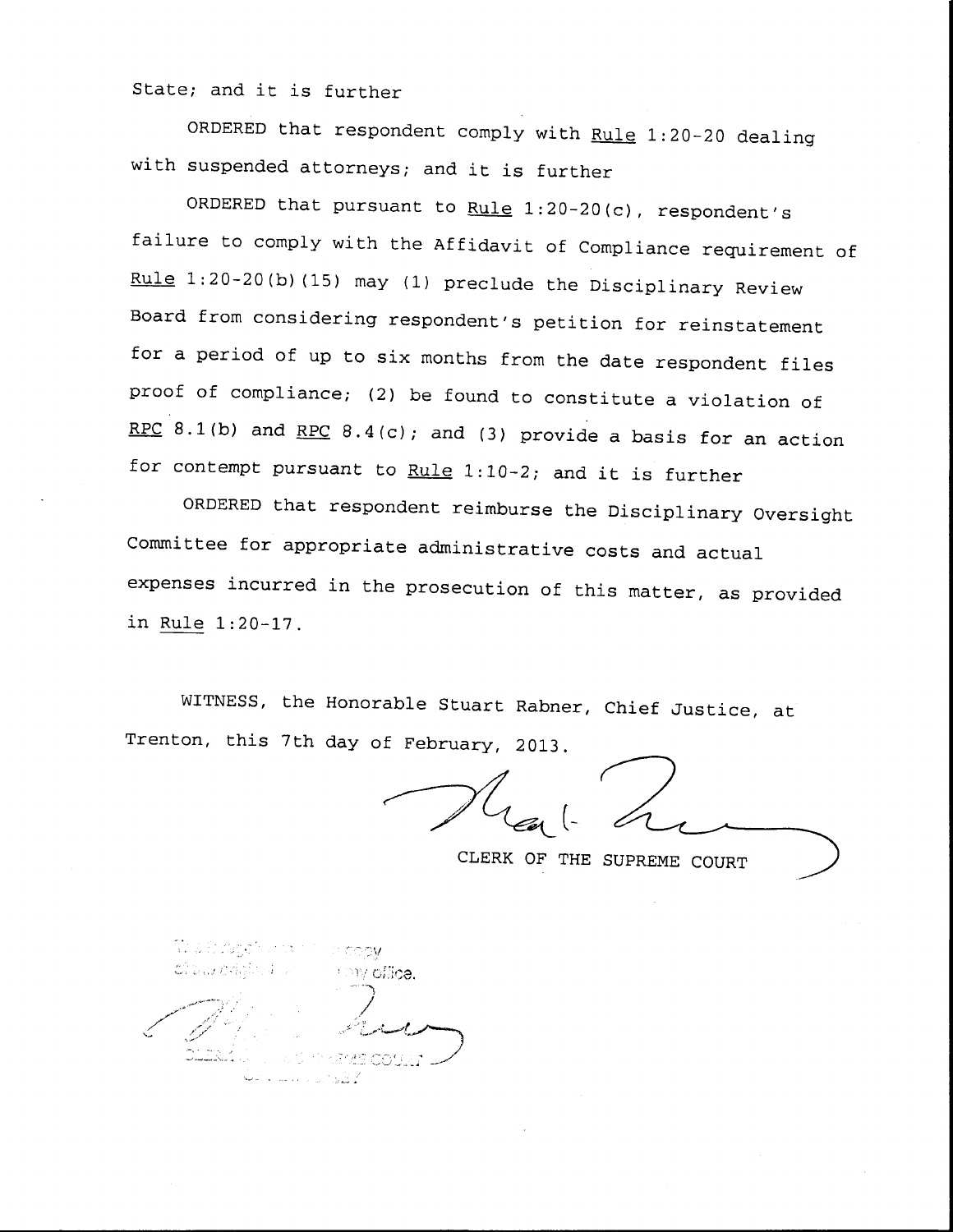State; and it is further

ORDERED that respondent comply with Rule 1:20-20 dealing with suspended attorneys; and it is further

ORDERED that pursuant to Rule  $1:20-20(c)$ , respondent's failure to comply with the Affidavit of Compliance requirement of Rule 1:20-20(b) (15) may (i) preclude the Disciplinary Review Board from considering respondent's petition for reinstatement for a period of up to six months from the date respondent files proof of compliance; (2) be found to constitute a violation of RPC 8.1(b) and RPC 8.4(c); and (3) provide a basis for an action for contempt pursuant to Rule  $1:10-2$ ; and it is further

ORDERED that respondent reimburse the Disciplinary Oversight Committee for appropriate administrative costs and actual expenses incurred in the prosecution of this matter, as provided in Rule 1:20-17.

WITNESS, the Honorable Stuart Rabner, Chief Justice, at Trenton, this 7th day of February, 2013.

CLERK OF THE SUPREME COURT

my offica.